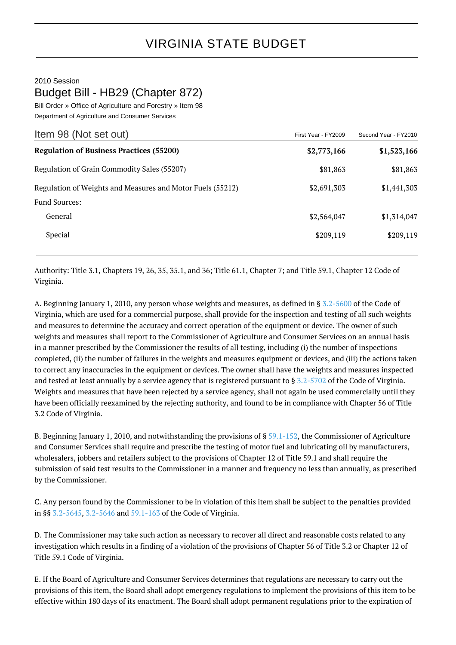## 2010 Session Budget Bill - HB29 (Chapter 872)

Bill Order » Office of Agriculture and Forestry » Item 98 Department of Agriculture and Consumer Services

| Item 98 (Not set out)                                                              | First Year - FY2009 | Second Year - FY2010 |
|------------------------------------------------------------------------------------|---------------------|----------------------|
| <b>Regulation of Business Practices (55200)</b>                                    | \$2,773,166         | \$1,523,166          |
| Regulation of Grain Commodity Sales (55207)                                        | \$81,863            | \$81,863             |
| Regulation of Weights and Measures and Motor Fuels (55212)<br><b>Fund Sources:</b> | \$2,691,303         | \$1,441,303          |
| General                                                                            | \$2,564,047         | \$1,314,047          |
| Special                                                                            | \$209,119           | \$209,119            |

Authority: Title 3.1, Chapters 19, 26, 35, 35.1, and 36; Title 61.1, Chapter 7; and Title 59.1, Chapter 12 Code of Virginia.

A. Beginning January 1, 2010, any person whose weights and measures, as defined in § [3.2-5600](http://law.lis.virginia.gov/vacode/3.2-5600/) of the Code of Virginia, which are used for a commercial purpose, shall provide for the inspection and testing of all such weights and measures to determine the accuracy and correct operation of the equipment or device. The owner of such weights and measures shall report to the Commissioner of Agriculture and Consumer Services on an annual basis in a manner prescribed by the Commissioner the results of all testing, including (i) the number of inspections completed, (ii) the number of failures in the weights and measures equipment or devices, and (iii) the actions taken to correct any inaccuracies in the equipment or devices. The owner shall have the weights and measures inspected and tested at least annually by a service agency that is registered pursuant to § [3.2-5702](http://law.lis.virginia.gov/vacode/3.2-5702/) of the Code of Virginia. Weights and measures that have been rejected by a service agency, shall not again be used commercially until they have been officially reexamined by the rejecting authority, and found to be in compliance with Chapter 56 of Title 3.2 Code of Virginia.

B. Beginning January 1, 2010, and notwithstanding the provisions of § [59.1-152](http://law.lis.virginia.gov/vacode/59.1-152/), the Commissioner of Agriculture and Consumer Services shall require and prescribe the testing of motor fuel and lubricating oil by manufacturers, wholesalers, jobbers and retailers subject to the provisions of Chapter 12 of Title 59.1 and shall require the submission of said test results to the Commissioner in a manner and frequency no less than annually, as prescribed by the Commissioner.

C. Any person found by the Commissioner to be in violation of this item shall be subject to the penalties provided in §§ [3.2-5645,](http://law.lis.virginia.gov/vacode/3.2-5645/) [3.2-5646](http://law.lis.virginia.gov/vacode/3.2-5646/) and [59.1-163](http://law.lis.virginia.gov/vacode/59.1-163/) of the Code of Virginia.

D. The Commissioner may take such action as necessary to recover all direct and reasonable costs related to any investigation which results in a finding of a violation of the provisions of Chapter 56 of Title 3.2 or Chapter 12 of Title 59.1 Code of Virginia.

E. If the Board of Agriculture and Consumer Services determines that regulations are necessary to carry out the provisions of this item, the Board shall adopt emergency regulations to implement the provisions of this item to be effective within 180 days of its enactment. The Board shall adopt permanent regulations prior to the expiration of